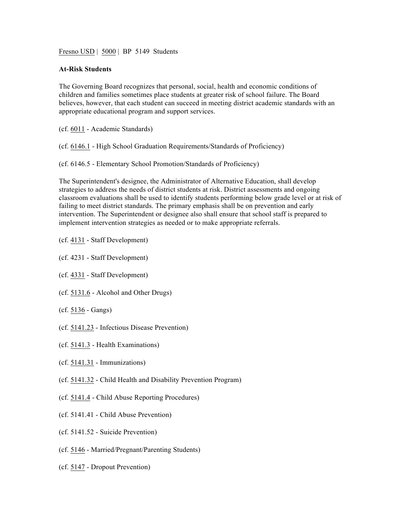Fresno USD | 5000 | BP 5149 Students

## **At-Risk Students**

The Governing Board recognizes that personal, social, health and economic conditions of children and families sometimes place students at greater risk of school failure. The Board believes, however, that each student can succeed in meeting district academic standards with an appropriate educational program and support services.

- (cf. 6011 Academic Standards)
- (cf. 6146.1 High School Graduation Requirements/Standards of Proficiency)
- (cf. 6146.5 Elementary School Promotion/Standards of Proficiency)

The Superintendent's designee, the Administrator of Alternative Education, shall develop strategies to address the needs of district students at risk. District assessments and ongoing classroom evaluations shall be used to identify students performing below grade level or at risk of failing to meet district standards. The primary emphasis shall be on prevention and early intervention. The Superintendent or designee also shall ensure that school staff is prepared to implement intervention strategies as needed or to make appropriate referrals.

- (cf. 4131 Staff Development)
- (cf. 4231 Staff Development)
- (cf. 4331 Staff Development)
- (cf. 5131.6 Alcohol and Other Drugs)
- (cf. 5136 Gangs)
- (cf. 5141.23 Infectious Disease Prevention)
- (cf. 5141.3 Health Examinations)
- (cf. 5141.31 Immunizations)
- (cf. 5141.32 Child Health and Disability Prevention Program)
- (cf. 5141.4 Child Abuse Reporting Procedures)
- (cf. 5141.41 Child Abuse Prevention)
- (cf. 5141.52 Suicide Prevention)
- (cf. 5146 Married/Pregnant/Parenting Students)
- (cf. 5147 Dropout Prevention)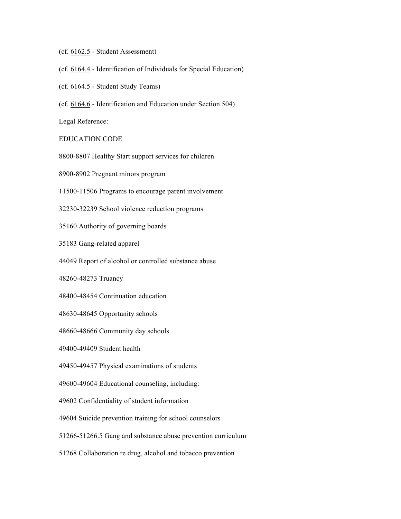- (cf. 6162.5 Student Assessment)
- (cf. 6164.4 Identification of Individuals for Special Education)
- (cf. 6164.5 Student Study Teams)
- (cf. 6164.6 Identification and Education under Section 504)

Legal Reference:

EDUCATION CODE

8800-8807 Healthy Start support services for children

8900-8902 Pregnant minors program

11500-11506 Programs to encourage parent involvement

32230-32239 School violence reduction programs

35160 Authority of governing boards

35183 Gang-related apparel

44049 Report of alcohol or controlled substance abuse

48260-48273 Truancy

48400-48454 Continuation education

48630-48645 Opportunity schools

48660-48666 Community day schools

49400-49409 Student health

49450-49457 Physical examinations of students

49600-49604 Educational counseling, including:

49602 Confidentiality of student information

49604 Suicide prevention training for school counselors

51266-51266.5 Gang and substance abuse prevention curriculum

51268 Collaboration re drug, alcohol and tobacco prevention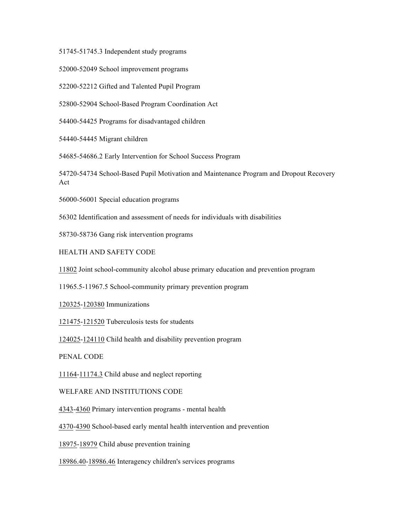51745-51745.3 Independent study programs

52000-52049 School improvement programs

52200-52212 Gifted and Talented Pupil Program

52800-52904 School-Based Program Coordination Act

54400-54425 Programs for disadvantaged children

54440-54445 Migrant children

54685-54686.2 Early Intervention for School Success Program

54720-54734 School-Based Pupil Motivation and Maintenance Program and Dropout Recovery Act

56000-56001 Special education programs

56302 Identification and assessment of needs for individuals with disabilities

58730-58736 Gang risk intervention programs

HEALTH AND SAFETY CODE

11802 Joint school-community alcohol abuse primary education and prevention program

11965.5-11967.5 School-community primary prevention program

120325-120380 Immunizations

121475-121520 Tuberculosis tests for students

124025-124110 Child health and disability prevention program

PENAL CODE

11164-11174.3 Child abuse and neglect reporting

WELFARE AND INSTITUTIONS CODE

4343-4360 Primary intervention programs - mental health

4370-4390 School-based early mental health intervention and prevention

18975-18979 Child abuse prevention training

18986.40-18986.46 Interagency children's services programs